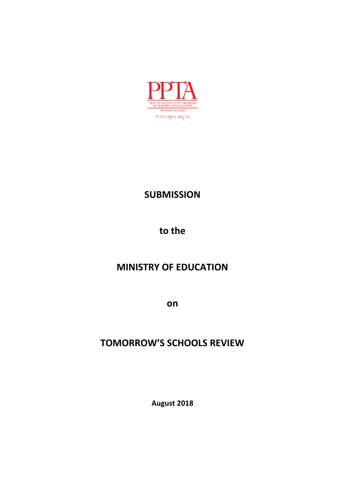

# **SUBMISSION**

**to the**

# **MINISTRY OF EDUCATION**

**on**

# **TOMORROW'S SCHOOLS REVIEW**

**August 2018**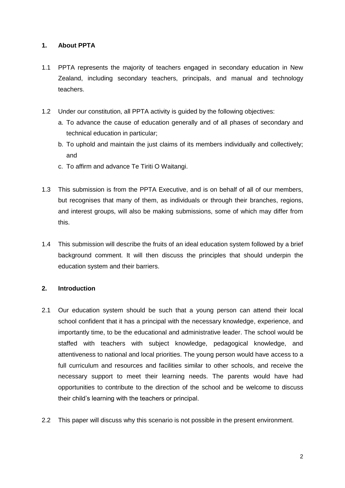## **1. About PPTA**

- 1.1 PPTA represents the majority of teachers engaged in secondary education in New Zealand, including secondary teachers, principals, and manual and technology teachers.
- 1.2 Under our constitution, all PPTA activity is guided by the following objectives:
	- a. To advance the cause of education generally and of all phases of secondary and technical education in particular;
	- b. To uphold and maintain the just claims of its members individually and collectively; and
	- c. To affirm and advance Te Tiriti O Waitangi.
- 1.3 This submission is from the PPTA Executive, and is on behalf of all of our members, but recognises that many of them, as individuals or through their branches, regions, and interest groups, will also be making submissions, some of which may differ from this.
- 1.4 This submission will describe the fruits of an ideal education system followed by a brief background comment. It will then discuss the principles that should underpin the education system and their barriers.

## **2. Introduction**

- 2.1 Our education system should be such that a young person can attend their local school confident that it has a principal with the necessary knowledge, experience, and importantly time, to be the educational and administrative leader. The school would be staffed with teachers with subject knowledge, pedagogical knowledge, and attentiveness to national and local priorities. The young person would have access to a full curriculum and resources and facilities similar to other schools, and receive the necessary support to meet their learning needs. The parents would have had opportunities to contribute to the direction of the school and be welcome to discuss their child"s learning with the teachers or principal.
- 2.2 This paper will discuss why this scenario is not possible in the present environment.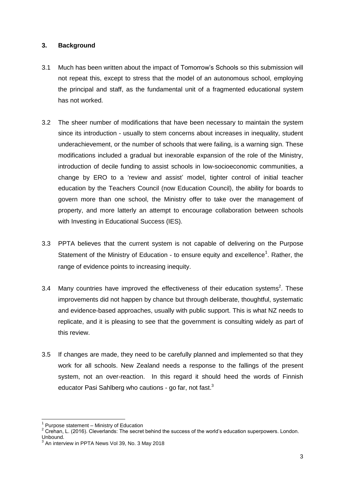## **3. Background**

- 3.1 Much has been written about the impact of Tomorrow"s Schools so this submission will not repeat this, except to stress that the model of an autonomous school, employing the principal and staff, as the fundamental unit of a fragmented educational system has not worked.
- 3.2 The sheer number of modifications that have been necessary to maintain the system since its introduction - usually to stem concerns about increases in inequality, student underachievement, or the number of schools that were failing, is a warning sign. These modifications included a gradual but inexorable expansion of the role of the Ministry, introduction of decile funding to assist schools in low-socioeconomic communities, a change by ERO to a "review and assist" model, tighter control of initial teacher education by the Teachers Council (now Education Council), the ability for boards to govern more than one school, the Ministry offer to take over the management of property, and more latterly an attempt to encourage collaboration between schools with Investing in Educational Success (IES).
- 3.3 PPTA believes that the current system is not capable of delivering on the Purpose Statement of the Ministry of Education - to ensure equity and excellence<sup>1</sup>. Rather, the range of evidence points to increasing inequity.
- 3.4 Many countries have improved the effectiveness of their education systems<sup>2</sup>. These improvements did not happen by chance but through deliberate, thoughtful, systematic and evidence-based approaches, usually with public support. This is what NZ needs to replicate, and it is pleasing to see that the government is consulting widely as part of this review.
- 3.5 If changes are made, they need to be carefully planned and implemented so that they work for all schools. New Zealand needs a response to the fallings of the present system, not an over-reaction. In this regard it should heed the words of Finnish educator Pasi Sahlberg who cautions - go far, not fast.<sup>3</sup>

**.** 

<sup>&</sup>lt;sup>1</sup> Purpose statement - Ministry of Education

<sup>2</sup> Crehan, L. (2016). Cleverlands: The secret behind the success of the world's education superpowers. London. Unbound.

An interview in PPTA News Vol 39, No. 3 May 2018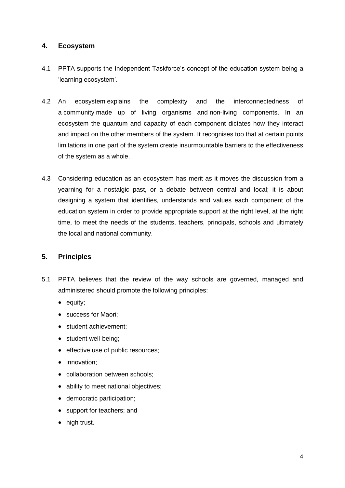## **4. Ecosystem**

- 4.1 PPTA supports the Independent Taskforce"s concept of the education system being a "learning ecosystem".
- 4.2 An ecosystem explains the complexity and the interconnectedness of a community made up of living organisms and non-living components. In an ecosystem the quantum and capacity of each component dictates how they interact and impact on the other members of the system. It recognises too that at certain points limitations in one part of the system create insurmountable barriers to the effectiveness of the system as a whole.
- 4.3 Considering education as an ecosystem has merit as it moves the discussion from a yearning for a nostalgic past, or a debate between central and local; it is about designing a system that identifies, understands and values each component of the education system in order to provide appropriate support at the right level, at the right time, to meet the needs of the students, teachers, principals, schools and ultimately the local and national community.

## **5. Principles**

- 5.1 PPTA believes that the review of the way schools are governed, managed and administered should promote the following principles:
	- $\bullet$  equity;
	- success for Maori;
	- student achievement;
	- student well-being;
	- effective use of public resources;
	- innovation;
	- collaboration between schools;
	- ability to meet national objectives;
	- democratic participation;
	- support for teachers; and
	- high trust.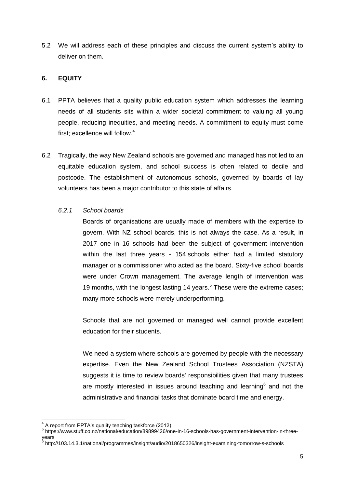5.2 We will address each of these principles and discuss the current system"s ability to deliver on them.

## **6. EQUITY**

- 6.1 PPTA believes that a quality public education system which addresses the learning needs of all students sits within a wider societal commitment to valuing all young people, reducing inequities, and meeting needs. A commitment to equity must come first; excellence will follow. 4
- 6.2 Tragically, the way New Zealand schools are governed and managed has not led to an equitable education system, and school success is often related to decile and postcode. The establishment of autonomous schools, governed by boards of lay volunteers has been a major contributor to this state of affairs.

## *6.2.1 School boards*

Boards of organisations are usually made of members with the expertise to govern. With NZ school boards, this is not always the case. As a result, in 2017 one in 16 schools had been the subject of government intervention within the last three years - 154 schools either had a limited statutory manager or a commissioner who acted as the board. Sixty-five school boards were under Crown management. The average length of intervention was 19 months, with the longest lasting 14 years.<sup>5</sup> These were the extreme cases; many more schools were merely underperforming.

Schools that are not governed or managed well cannot provide excellent education for their students.

We need a system where schools are governed by people with the necessary expertise. Even the New Zealand School Trustees Association (NZSTA) suggests it is time to review boards' responsibilities given that many trustees are mostly interested in issues around teaching and learning<sup>6</sup> and not the administrative and financial tasks that dominate board time and energy.

 4 A report from PPTA"s quality teaching taskforce (2012)

<sup>5</sup> https://www.stuff.co.nz/national/education/89899426/one-in-16-schools-has-government-intervention-in-threeyears

<sup>6</sup> http://103.14.3.1/national/programmes/insight/audio/2018650326/insight-examining-tomorrow-s-schools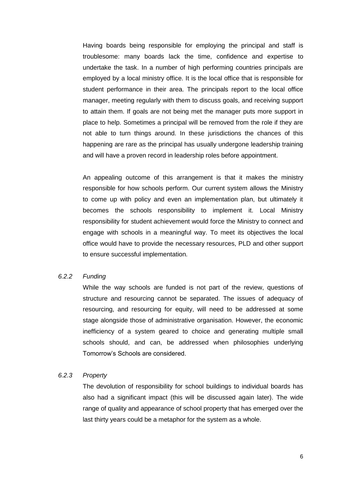Having boards being responsible for employing the principal and staff is troublesome: many boards lack the time, confidence and expertise to undertake the task. In a number of high performing countries principals are employed by a local ministry office. It is the local office that is responsible for student performance in their area. The principals report to the local office manager, meeting regularly with them to discuss goals, and receiving support to attain them. If goals are not being met the manager puts more support in place to help. Sometimes a principal will be removed from the role if they are not able to turn things around. In these jurisdictions the chances of this happening are rare as the principal has usually undergone leadership training and will have a proven record in leadership roles before appointment.

An appealing outcome of this arrangement is that it makes the ministry responsible for how schools perform. Our current system allows the Ministry to come up with policy and even an implementation plan, but ultimately it becomes the schools responsibility to implement it. Local Ministry responsibility for student achievement would force the Ministry to connect and engage with schools in a meaningful way. To meet its objectives the local office would have to provide the necessary resources, PLD and other support to ensure successful implementation.

## *6.2.2 Funding*

While the way schools are funded is not part of the review, questions of structure and resourcing cannot be separated. The issues of adequacy of resourcing, and resourcing for equity, will need to be addressed at some stage alongside those of administrative organisation. However, the economic inefficiency of a system geared to choice and generating multiple small schools should, and can, be addressed when philosophies underlying Tomorrow"s Schools are considered.

#### *6.2.3 Property*

The devolution of responsibility for school buildings to individual boards has also had a significant impact (this will be discussed again later). The wide range of quality and appearance of school property that has emerged over the last thirty years could be a metaphor for the system as a whole.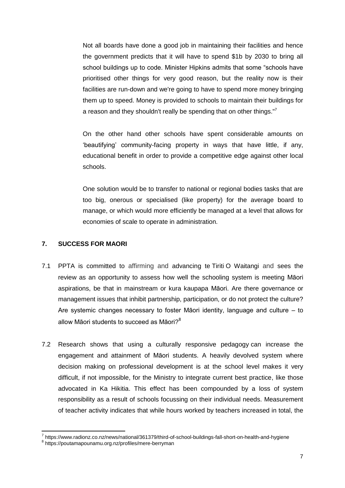Not all boards have done a good job in maintaining their facilities and hence the government predicts that it will have to spend \$1b by 2030 to bring all school buildings up to code. Minister Hipkins admits that some "schools have prioritised other things for very good reason, but the reality now is their facilities are run-down and we're going to have to spend more money bringing them up to speed. Money is provided to schools to maintain their buildings for a reason and they shouldn't really be spending that on other things."<sup>7</sup>

On the other hand other schools have spent considerable amounts on "beautifying" community-facing property in ways that have little, if any, educational benefit in order to provide a competitive edge against other local schools.

One solution would be to transfer to national or regional bodies tasks that are too big, onerous or specialised (like property) for the average board to manage, or which would more efficiently be managed at a level that allows for economies of scale to operate in administration.

## **7. SUCCESS FOR MAORI**

**.** 

- 7.1 PPTA is committed to affirming and advancing te Tiriti O Waitangi and sees the review as an opportunity to assess how well the schooling system is meeting Māori aspirations, be that in mainstream or kura kaupapa Māori. Are there governance or management issues that inhibit partnership, participation, or do not protect the culture? Are systemic changes necessary to foster Māori identity, language and culture – to allow Māori students to succeed as Māori $?^8$
- 7.2 Research shows that using a culturally responsive pedagogy can increase the engagement and attainment of Māori students. A heavily devolved system where decision making on professional development is at the school level makes it very difficult, if not impossible, for the Ministry to integrate current best practice, like those advocated in Ka Hikitia. This effect has been compounded by a loss of system responsibility as a result of schools focussing on their individual needs. Measurement of teacher activity indicates that while hours worked by teachers increased in total, the

<sup>&</sup>lt;sup>7</sup> https://www.radionz.co.nz/news/national/361379/third-of-school-buildings-fall-short-on-health-and-hygiene 8 https://poutamapounamu.org.nz/profiles/mere-berryman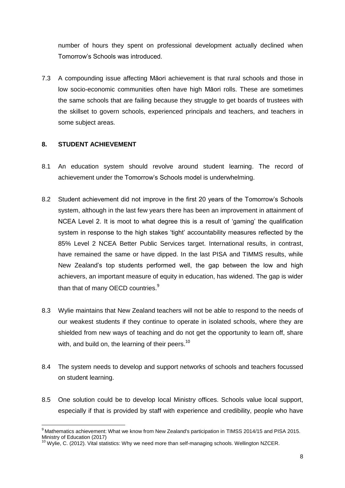number of hours they spent on professional development actually declined when Tomorrow"s Schools was introduced.

7.3 A compounding issue affecting Māori achievement is that rural schools and those in low socio-economic communities often have high Māori rolls. These are sometimes the same schools that are failing because they struggle to get boards of trustees with the skillset to govern schools, experienced principals and teachers, and teachers in some subject areas.

## **8. STUDENT ACHIEVEMENT**

 $\overline{a}$ 

- 8.1 An education system should revolve around student learning. The record of achievement under the Tomorrow"s Schools model is underwhelming.
- 8.2 Student achievement did not improve in the first 20 years of the Tomorrow's Schools system, although in the last few years there has been an improvement in attainment of NCEA Level 2. It is moot to what degree this is a result of "gaming" the qualification system in response to the high stakes "tight" accountability measures reflected by the 85% Level 2 NCEA Better Public Services target. International results, in contrast, have remained the same or have dipped. In the last PISA and TIMMS results, while New Zealand"s top students performed well, the gap between the low and high achievers, an important measure of equity in education, has widened. The gap is wider than that of many OECD countries.<sup>9</sup>
- 8.3 Wylie maintains that New Zealand teachers will not be able to respond to the needs of our weakest students if they continue to operate in isolated schools, where they are shielded from new ways of teaching and do not get the opportunity to learn off, share with, and build on, the learning of their peers. $^{10}$
- 8.4 The system needs to develop and support networks of schools and teachers focussed on student learning.
- 8.5 One solution could be to develop local Ministry offices. Schools value local support, especially if that is provided by staff with experience and credibility, people who have

<sup>&</sup>lt;sup>9</sup> Mathematics achievement: What we know from New Zealand's participation in TIMSS 2014/15 and PISA 2015. Ministry of Education (2017)

<sup>10</sup> Wylie, C. (2012). Vital statistics: Why we need more than self-managing schools. Wellington NZCER.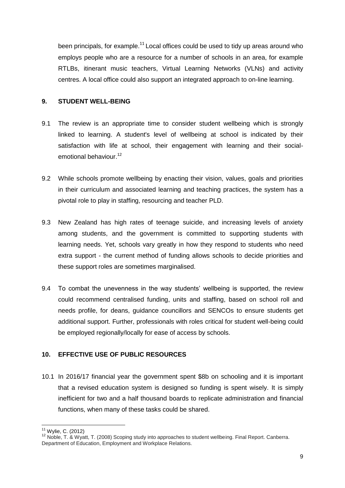been principals, for example. $11$  Local offices could be used to tidy up areas around who employs people who are a resource for a number of schools in an area, for example RTLBs, itinerant music teachers, Virtual Learning Networks (VLNs) and activity centres. A local office could also support an integrated approach to on-line learning.

## **9. STUDENT WELL-BEING**

- 9.1 The review is an appropriate time to consider student wellbeing which is strongly linked to learning. A student's level of wellbeing at school is indicated by their satisfaction with life at school, their engagement with learning and their socialemotional behaviour.<sup>12</sup>
- 9.2 While schools promote wellbeing by enacting their vision, values, goals and priorities in their curriculum and associated learning and teaching practices, the system has a pivotal role to play in staffing, resourcing and teacher PLD.
- 9.3 New Zealand has high rates of teenage suicide, and increasing levels of anxiety among students, and the government is committed to supporting students with learning needs. Yet, schools vary greatly in how they respond to students who need extra support - the current method of funding allows schools to decide priorities and these support roles are sometimes marginalised.
- 9.4 To combat the unevenness in the way students' wellbeing is supported, the review could recommend centralised funding, units and staffing, based on school roll and needs profile, for deans, guidance councillors and SENCOs to ensure students get additional support. Further, professionals with roles critical for student well-being could be employed regionally/locally for ease of access by schools.

## **10. EFFECTIVE USE OF PUBLIC RESOURCES**

10.1 In 2016/17 financial year the government spent \$8b on schooling and it is important that a revised education system is designed so funding is spent wisely. It is simply inefficient for two and a half thousand boards to replicate administration and financial functions, when many of these tasks could be shared.

 $\overline{a}$  $11$  Wylie, C. (2012)

<sup>&</sup>lt;sup>12</sup> Noble, T. & Wyatt, T. (2008) Scoping study into approaches to student wellbeing. Final Report. Canberra. Department of Education, Employment and Workplace Relations.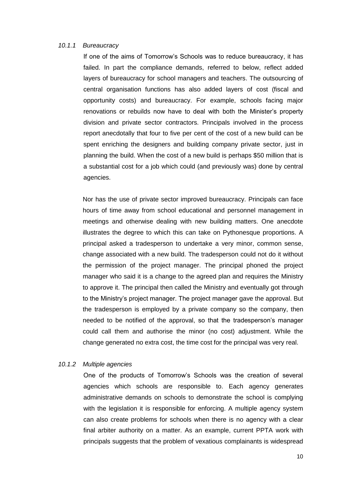#### *10.1.1 Bureaucracy*

If one of the aims of Tomorrow"s Schools was to reduce bureaucracy, it has failed. In part the compliance demands, referred to below, reflect added layers of bureaucracy for school managers and teachers. The outsourcing of central organisation functions has also added layers of cost (fiscal and opportunity costs) and bureaucracy. For example, schools facing major renovations or rebuilds now have to deal with both the Minister's property division and private sector contractors. Principals involved in the process report anecdotally that four to five per cent of the cost of a new build can be spent enriching the designers and building company private sector, just in planning the build. When the cost of a new build is perhaps \$50 million that is a substantial cost for a job which could (and previously was) done by central agencies.

Nor has the use of private sector improved bureaucracy. Principals can face hours of time away from school educational and personnel management in meetings and otherwise dealing with new building matters. One anecdote illustrates the degree to which this can take on Pythonesque proportions. A principal asked a tradesperson to undertake a very minor, common sense, change associated with a new build. The tradesperson could not do it without the permission of the project manager. The principal phoned the project manager who said it is a change to the agreed plan and requires the Ministry to approve it. The principal then called the Ministry and eventually got through to the Ministry"s project manager. The project manager gave the approval. But the tradesperson is employed by a private company so the company, then needed to be notified of the approval, so that the tradesperson"s manager could call them and authorise the minor (no cost) adjustment. While the change generated no extra cost, the time cost for the principal was very real.

#### *10.1.2 Multiple agencies*

One of the products of Tomorrow"s Schools was the creation of several agencies which schools are responsible to. Each agency generates administrative demands on schools to demonstrate the school is complying with the legislation it is responsible for enforcing. A multiple agency system can also create problems for schools when there is no agency with a clear final arbiter authority on a matter. As an example, current PPTA work with principals suggests that the problem of vexatious complainants is widespread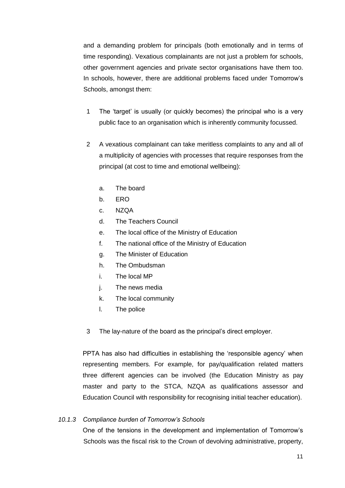and a demanding problem for principals (both emotionally and in terms of time responding). Vexatious complainants are not just a problem for schools, other government agencies and private sector organisations have them too. In schools, however, there are additional problems faced under Tomorrow"s Schools, amongst them:

- 1 The "target" is usually (or quickly becomes) the principal who is a very public face to an organisation which is inherently community focussed.
- 2 A vexatious complainant can take meritless complaints to any and all of a multiplicity of agencies with processes that require responses from the principal (at cost to time and emotional wellbeing):
	- a. The board
	- b. ERO
	- c. NZQA
	- d. The Teachers Council
	- e. The local office of the Ministry of Education
	- f. The national office of the Ministry of Education
	- g. The Minister of Education
	- h. The Ombudsman
	- i. The local MP
	- j. The news media
	- k. The local community
	- l. The police
- 3 The lay-nature of the board as the principal"s direct employer.

PPTA has also had difficulties in establishing the "responsible agency" when representing members. For example, for pay/qualification related matters three different agencies can be involved (the Education Ministry as pay master and party to the STCA, NZQA as qualifications assessor and Education Council with responsibility for recognising initial teacher education).

#### *10.1.3 Compliance burden of Tomorrow's Schools*

One of the tensions in the development and implementation of Tomorrow"s Schools was the fiscal risk to the Crown of devolving administrative, property,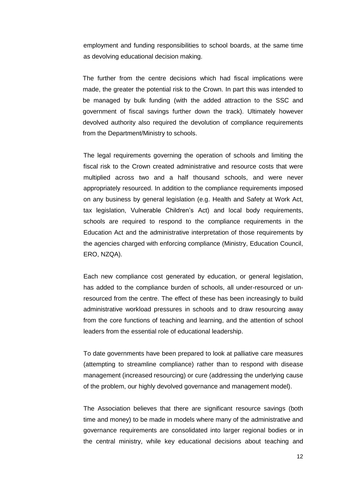employment and funding responsibilities to school boards, at the same time as devolving educational decision making.

The further from the centre decisions which had fiscal implications were made, the greater the potential risk to the Crown. In part this was intended to be managed by bulk funding (with the added attraction to the SSC and government of fiscal savings further down the track). Ultimately however devolved authority also required the devolution of compliance requirements from the Department/Ministry to schools.

The legal requirements governing the operation of schools and limiting the fiscal risk to the Crown created administrative and resource costs that were multiplied across two and a half thousand schools, and were never appropriately resourced. In addition to the compliance requirements imposed on any business by general legislation (e.g. Health and Safety at Work Act, tax legislation, Vulnerable Children"s Act) and local body requirements, schools are required to respond to the compliance requirements in the Education Act and the administrative interpretation of those requirements by the agencies charged with enforcing compliance (Ministry, Education Council, ERO, NZQA).

Each new compliance cost generated by education, or general legislation, has added to the compliance burden of schools, all under-resourced or unresourced from the centre. The effect of these has been increasingly to build administrative workload pressures in schools and to draw resourcing away from the core functions of teaching and learning, and the attention of school leaders from the essential role of educational leadership.

To date governments have been prepared to look at palliative care measures (attempting to streamline compliance) rather than to respond with disease management (increased resourcing) or cure (addressing the underlying cause of the problem, our highly devolved governance and management model).

The Association believes that there are significant resource savings (both time and money) to be made in models where many of the administrative and governance requirements are consolidated into larger regional bodies or in the central ministry, while key educational decisions about teaching and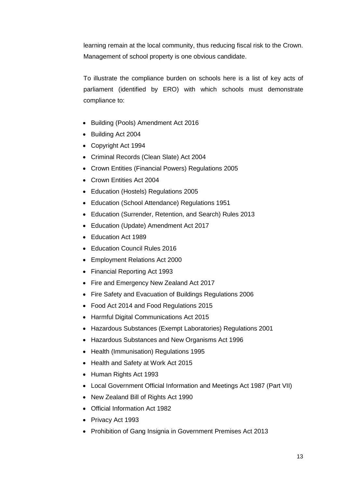learning remain at the local community, thus reducing fiscal risk to the Crown. Management of school property is one obvious candidate.

To illustrate the compliance burden on schools here is a list of key acts of parliament (identified by ERO) with which schools must demonstrate compliance to:

- Building (Pools) Amendment Act 2016
- Building Act 2004
- Copyright Act 1994
- Criminal Records (Clean Slate) Act 2004
- Crown Entities (Financial Powers) Regulations 2005
- Crown Entities Act 2004
- Education (Hostels) Regulations 2005
- Education (School Attendance) Regulations 1951
- Education (Surrender, Retention, and Search) Rules 2013
- Education (Update) Amendment Act 2017
- Education Act 1989
- Education Council Rules 2016
- Employment Relations Act 2000
- Financial Reporting Act 1993
- Fire and Emergency New Zealand Act 2017
- Fire Safety and Evacuation of Buildings Regulations 2006
- Food Act 2014 and Food Regulations 2015
- Harmful Digital Communications Act 2015
- Hazardous Substances (Exempt Laboratories) Regulations 2001
- Hazardous Substances and New Organisms Act 1996
- Health (Immunisation) Regulations 1995
- Health and Safety at Work Act 2015
- Human Rights Act 1993
- Local Government Official Information and Meetings Act 1987 (Part VII)
- New Zealand Bill of Rights Act 1990
- Official Information Act 1982
- Privacy Act 1993
- Prohibition of Gang Insignia in Government Premises Act 2013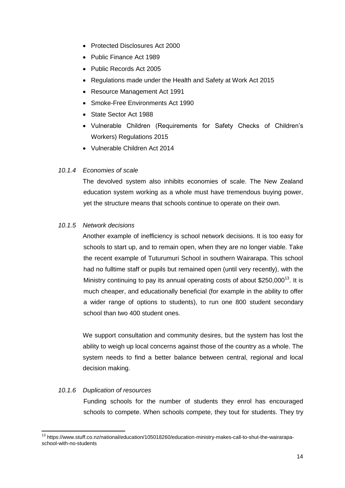- Protected Disclosures Act 2000
- Public Finance Act 1989
- Public Records Act 2005
- Regulations made under the Health and Safety at Work Act 2015
- Resource Management Act 1991
- Smoke-Free Environments Act 1990
- State Sector Act 1988
- Vulnerable Children (Requirements for Safety Checks of Children's Workers) Regulations 2015
- Vulnerable Children Act 2014

#### *10.1.4 Economies of scale*

The devolved system also inhibits economies of scale. The New Zealand education system working as a whole must have tremendous buying power, yet the structure means that schools continue to operate on their own.

## *10.1.5 Network decisions*

Another example of inefficiency is school network decisions. It is too easy for schools to start up, and to remain open, when they are no longer viable. Take the recent example of Tuturumuri School in southern Wairarapa. This school had no fulltime staff or pupils but remained open (until very recently), with the Ministry continuing to pay its annual operating costs of about \$250,000<sup>13</sup>. It is much cheaper, and educationally beneficial (for example in the ability to offer a wider range of options to students), to run one 800 student secondary school than two 400 student ones.

We support consultation and community desires, but the system has lost the ability to weigh up local concerns against those of the country as a whole. The system needs to find a better balance between central, regional and local decision making.

## *10.1.6 Duplication of resources*

**.** 

Funding schools for the number of students they enrol has encouraged schools to compete. When schools compete, they tout for students. They try

<sup>13</sup> https://www.stuff.co.nz/national/education/105018260/education-ministry-makes-call-to-shut-the-wairarapaschool-with-no-students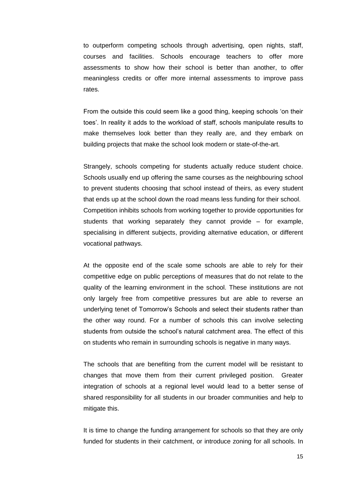to outperform competing schools through advertising, open nights, staff, courses and facilities. Schools encourage teachers to offer more assessments to show how their school is better than another, to offer meaningless credits or offer more internal assessments to improve pass rates.

From the outside this could seem like a good thing, keeping schools "on their toes". In reality it adds to the workload of staff, schools manipulate results to make themselves look better than they really are, and they embark on building projects that make the school look modern or state-of-the-art.

Strangely, schools competing for students actually reduce student choice. Schools usually end up offering the same courses as the neighbouring school to prevent students choosing that school instead of theirs, as every student that ends up at the school down the road means less funding for their school. Competition inhibits schools from working together to provide opportunities for students that working separately they cannot provide – for example, specialising in different subjects, providing alternative education, or different vocational pathways.

At the opposite end of the scale some schools are able to rely for their competitive edge on public perceptions of measures that do not relate to the quality of the learning environment in the school. These institutions are not only largely free from competitive pressures but are able to reverse an underlying tenet of Tomorrow"s Schools and select their students rather than the other way round. For a number of schools this can involve selecting students from outside the school"s natural catchment area. The effect of this on students who remain in surrounding schools is negative in many ways.

The schools that are benefiting from the current model will be resistant to changes that move them from their current privileged position. Greater integration of schools at a regional level would lead to a better sense of shared responsibility for all students in our broader communities and help to mitigate this.

It is time to change the funding arrangement for schools so that they are only funded for students in their catchment, or introduce zoning for all schools. In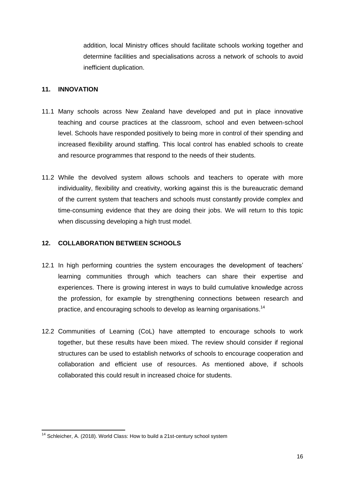addition, local Ministry offices should facilitate schools working together and determine facilities and specialisations across a network of schools to avoid inefficient duplication.

## **11. INNOVATION**

- 11.1 Many schools across New Zealand have developed and put in place innovative teaching and course practices at the classroom, school and even between-school level. Schools have responded positively to being more in control of their spending and increased flexibility around staffing. This local control has enabled schools to create and resource programmes that respond to the needs of their students.
- 11.2 While the devolved system allows schools and teachers to operate with more individuality, flexibility and creativity, working against this is the bureaucratic demand of the current system that teachers and schools must constantly provide complex and time-consuming evidence that they are doing their jobs. We will return to this topic when discussing developing a high trust model.

## **12. COLLABORATION BETWEEN SCHOOLS**

- 12.1 In high performing countries the system encourages the development of teachers" learning communities through which teachers can share their expertise and experiences. There is growing interest in ways to build cumulative knowledge across the profession, for example by strengthening connections between research and practice, and encouraging schools to develop as learning organisations.<sup>14</sup>
- 12.2 Communities of Learning (CoL) have attempted to encourage schools to work together, but these results have been mixed. The review should consider if regional structures can be used to establish networks of schools to encourage cooperation and collaboration and efficient use of resources. As mentioned above, if schools collaborated this could result in increased choice for students.

 $\overline{a}$  $14$  Schleicher, A. (2018). World Class: How to build a 21st-century school system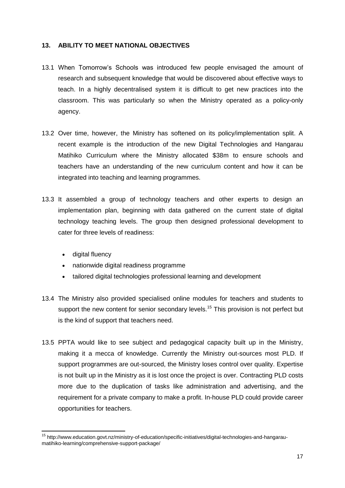## **13. ABILITY TO MEET NATIONAL OBJECTIVES**

- 13.1 When Tomorrow"s Schools was introduced few people envisaged the amount of research and subsequent knowledge that would be discovered about effective ways to teach. In a highly decentralised system it is difficult to get new practices into the classroom. This was particularly so when the Ministry operated as a policy-only agency.
- 13.2 Over time, however, the Ministry has softened on its policy/implementation split. A recent example is the introduction of the new Digital Technologies and Hangarau Matihiko Curriculum where the Ministry allocated \$38m to ensure schools and teachers have an understanding of the new curriculum content and how it can be integrated into teaching and learning programmes.
- 13.3 It assembled a group of technology teachers and other experts to design an implementation plan, beginning with data gathered on the current state of digital technology teaching levels. The group then designed professional development to cater for three levels of readiness:
	- digital fluency

**.** 

- nationwide digital readiness programme
- tailored digital technologies professional learning and development
- 13.4 The Ministry also provided specialised online modules for teachers and students to support the new content for senior secondary levels.<sup>15</sup> This provision is not perfect but is the kind of support that teachers need.
- 13.5 PPTA would like to see subject and pedagogical capacity built up in the Ministry, making it a mecca of knowledge. Currently the Ministry out-sources most PLD. If support programmes are out-sourced, the Ministry loses control over quality. Expertise is not built up in the Ministry as it is lost once the project is over. Contracting PLD costs more due to the duplication of tasks like administration and advertising, and the requirement for a private company to make a profit. In-house PLD could provide career opportunities for teachers.

<sup>&</sup>lt;sup>15</sup> http://www.education.govt.nz/ministry-of-education/specific-initiatives/digital-technologies-and-hangaraumatihiko-learning/comprehensive-support-package/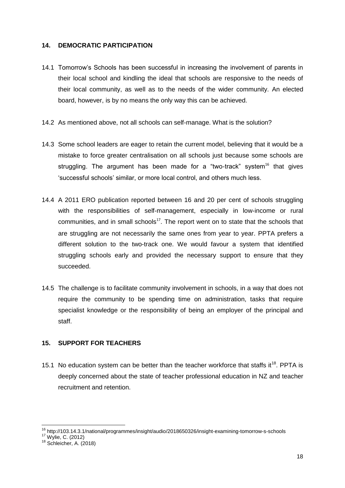## **14. DEMOCRATIC PARTICIPATION**

- 14.1 Tomorrow"s Schools has been successful in increasing the involvement of parents in their local school and kindling the ideal that schools are responsive to the needs of their local community, as well as to the needs of the wider community. An elected board, however, is by no means the only way this can be achieved.
- 14.2 As mentioned above, not all schools can self-manage. What is the solution?
- 14.3 Some school leaders are eager to retain the current model, believing that it would be a mistake to force greater centralisation on all schools just because some schools are struggling. The argument has been made for a "two-track" system $<sup>16</sup>$  that gives</sup> "successful schools" similar, or more local control, and others much less.
- 14.4 A 2011 ERO publication reported between 16 and 20 per cent of schools struggling with the responsibilities of self-management, especially in low-income or rural communities, and in small schools $17$ . The report went on to state that the schools that are struggling are not necessarily the same ones from year to year. PPTA prefers a different solution to the two-track one. We would favour a system that identified struggling schools early and provided the necessary support to ensure that they succeeded.
- 14.5 The challenge is to facilitate community involvement in schools, in a way that does not require the community to be spending time on administration, tasks that require specialist knowledge or the responsibility of being an employer of the principal and staff.

## **15. SUPPORT FOR TEACHERS**

15.1 No education system can be better than the teacher workforce that staffs it<sup>18</sup>. PPTA is deeply concerned about the state of teacher professional education in NZ and teacher recruitment and retention.

 $\overline{a}$ 

<sup>&</sup>lt;sup>16</sup> http://103.14.3.1/national/programmes/insight/audio/2018650326/insight-examining-tomorrow-s-schools

<sup>17</sup> Wylie, C. (2012)

<sup>&</sup>lt;sup>18</sup> Schleicher, A. (2018)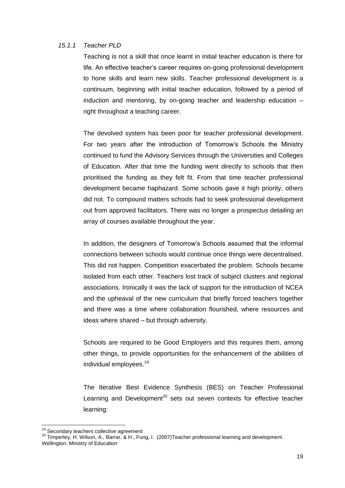#### *15.1.1 Teacher PLD*

Teaching is not a skill that once learnt in initial teacher education is there for life. An effective teacher"s career requires on-going professional development to hone skills and learn new skills. Teacher professional development is a continuum, beginning with initial teacher education, followed by a period of induction and mentoring, by on-going teacher and leadership education – right throughout a teaching career.

The devolved system has been poor for teacher professional development. For two years after the introduction of Tomorrow"s Schools the Ministry continued to fund the Advisory Services through the Universities and Colleges of Education. After that time the funding went directly to schools that then prioritised the funding as they felt fit. From that time teacher professional development became haphazard. Some schools gave it high priority, others did not. To compound matters schools had to seek professional development out from approved facilitators. There was no longer a prospectus detailing an array of courses available throughout the year.

In addition, the designers of Tomorrow's Schools assumed that the informal connections between schools would continue once things were decentralised. This did not happen. Competition exacerbated the problem. Schools became isolated from each other. Teachers lost track of subject clusters and regional associations. Ironically it was the lack of support for the introduction of NCEA and the upheaval of the new curriculum that briefly forced teachers together and there was a time where collaboration flourished, where resources and ideas where shared – but through adversity.

Schools are required to be Good Employers and this requires them, among other things, to provide opportunities for the enhancement of the abilities of individual employees.<sup>19</sup>

The Iterative Best Evidence Synthesis (BES) on Teacher Professional Learning and Development<sup>20</sup> sets out seven contexts for effective teacher learning:

 $\overline{a}$ 

<sup>&</sup>lt;sup>19</sup> Secondary teachers collective agreement

<sup>20</sup> Timperley, H. Wilson, A., Barrar, & H., Fung, I. (2007)Teacher professional learning and development.

Wellington. Ministry of Education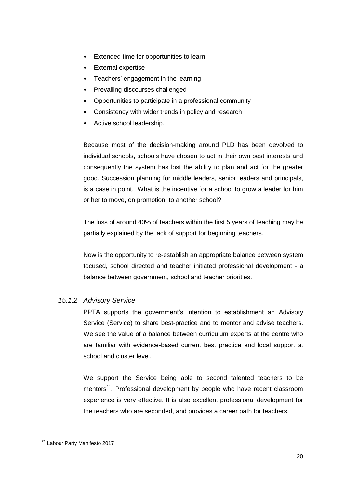- Extended time for opportunities to learn
- External expertise
- Teachers' engagement in the learning
- Prevailing discourses challenged
- Opportunities to participate in a professional community
- Consistency with wider trends in policy and research
- Active school leadership.

Because most of the decision-making around PLD has been devolved to individual schools, schools have chosen to act in their own best interests and consequently the system has lost the ability to plan and act for the greater good. Succession planning for middle leaders, senior leaders and principals, is a case in point. What is the incentive for a school to grow a leader for him or her to move, on promotion, to another school?

The loss of around 40% of teachers within the first 5 years of teaching may be partially explained by the lack of support for beginning teachers.

Now is the opportunity to re-establish an appropriate balance between system focused, school directed and teacher initiated professional development - a balance between government, school and teacher priorities.

## *15.1.2 Advisory Service*

PPTA supports the government"s intention to establishment an Advisory Service (Service) to share best-practice and to mentor and advise teachers. We see the value of a balance between curriculum experts at the centre who are familiar with evidence-based current best practice and local support at school and cluster level.

We support the Service being able to second talented teachers to be mentors<sup>21</sup>. Professional development by people who have recent classroom experience is very effective. It is also excellent professional development for the teachers who are seconded, and provides a career path for teachers.

**<sup>.</sup>** <sup>21</sup> Labour Party Manifesto 2017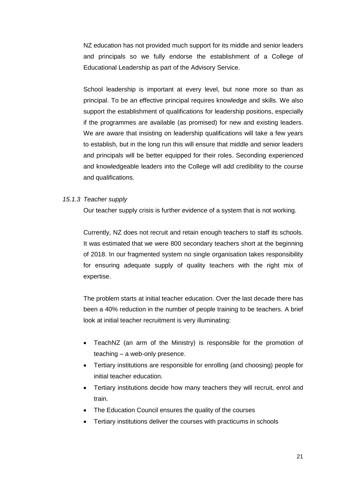NZ education has not provided much support for its middle and senior leaders and principals so we fully endorse the establishment of a College of Educational Leadership as part of the Advisory Service.

School leadership is important at every level, but none more so than as principal. To be an effective principal requires knowledge and skills. We also support the establishment of qualifications for leadership positions, especially if the programmes are available (as promised) for new and existing leaders. We are aware that insisting on leadership qualifications will take a few years to establish, but in the long run this will ensure that middle and senior leaders and principals will be better equipped for their roles. Seconding experienced and knowledgeable leaders into the College will add credibility to the course and qualifications.

#### *15.1.3 Teacher supply*

Our teacher supply crisis is further evidence of a system that is not working.

Currently, NZ does not recruit and retain enough teachers to staff its schools. It was estimated that we were 800 secondary teachers short at the beginning of 2018. In our fragmented system no single organisation takes responsibility for ensuring adequate supply of quality teachers with the right mix of expertise.

The problem starts at initial teacher education. Over the last decade there has been a 40% reduction in the number of people training to be teachers. A brief look at initial teacher recruitment is very illuminating:

- TeachNZ (an arm of the Ministry) is responsible for the promotion of teaching – a web-only presence.
- Tertiary institutions are responsible for enrolling (and choosing) people for initial teacher education.
- Tertiary institutions decide how many teachers they will recruit, enrol and train.
- The Education Council ensures the quality of the courses
- Tertiary institutions deliver the courses with practicums in schools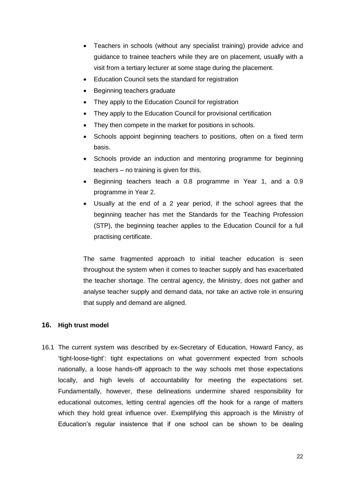- Teachers in schools (without any specialist training) provide advice and guidance to trainee teachers while they are on placement, usually with a visit from a tertiary lecturer at some stage during the placement.
- Education Council sets the standard for registration
- Beginning teachers graduate
- They apply to the Education Council for registration
- They apply to the Education Council for provisional certification
- They then compete in the market for positions in schools.
- Schools appoint beginning teachers to positions, often on a fixed term basis.
- Schools provide an induction and mentoring programme for beginning teachers – no training is given for this.
- Beginning teachers teach a 0.8 programme in Year 1, and a 0.9 programme in Year 2.
- Usually at the end of a 2 year period, if the school agrees that the beginning teacher has met the Standards for the Teaching Profession (STP), the beginning teacher applies to the Education Council for a full practising certificate.

The same fragmented approach to initial teacher education is seen throughout the system when it comes to teacher supply and has exacerbated the teacher shortage. The central agency, the Ministry, does not gather and analyse teacher supply and demand data, nor take an active role in ensuring that supply and demand are aligned.

#### **16. High trust model**

16.1 The current system was described by ex-Secretary of Education, Howard Fancy, as "tight-loose-tight": tight expectations on what government expected from schools nationally, a loose hands-off approach to the way schools met those expectations locally, and high levels of accountability for meeting the expectations set. Fundamentally, however, these delineations undermine shared responsibility for educational outcomes, letting central agencies off the hook for a range of matters which they hold great influence over. Exemplifying this approach is the Ministry of Education"s regular insistence that if one school can be shown to be dealing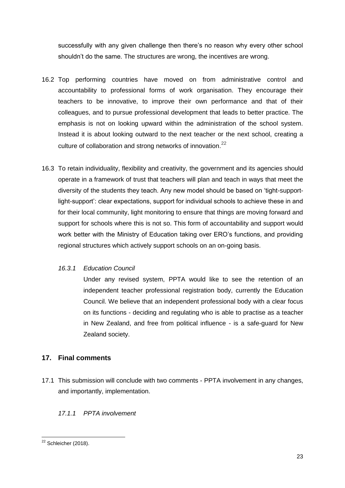successfully with any given challenge then there"s no reason why every other school shouldn"t do the same. The structures are wrong, the incentives are wrong.

- 16.2 Top performing countries have moved on from administrative control and accountability to professional forms of work organisation. They encourage their teachers to be innovative, to improve their own performance and that of their colleagues, and to pursue professional development that leads to better practice. The emphasis is not on looking upward within the administration of the school system. Instead it is about looking outward to the next teacher or the next school, creating a culture of collaboration and strong networks of innovation.<sup>22</sup>
- 16.3 To retain individuality, flexibility and creativity, the government and its agencies should operate in a framework of trust that teachers will plan and teach in ways that meet the diversity of the students they teach. Any new model should be based on "tight-supportlight-support": clear expectations, support for individual schools to achieve these in and for their local community, light monitoring to ensure that things are moving forward and support for schools where this is not so. This form of accountability and support would work better with the Ministry of Education taking over ERO"s functions, and providing regional structures which actively support schools on an on-going basis.

## *16.3.1 Education Council*

Under any revised system, PPTA would like to see the retention of an independent teacher professional registration body, currently the Education Council. We believe that an independent professional body with a clear focus on its functions - deciding and regulating who is able to practise as a teacher in New Zealand, and free from political influence - is a safe-guard for New Zealand society.

# **17. Final comments**

17.1 This submission will conclude with two comments - PPTA involvement in any changes, and importantly, implementation.

# *17.1.1 PPTA involvement*

**<sup>.</sup>**  $22$  Schleicher (2018).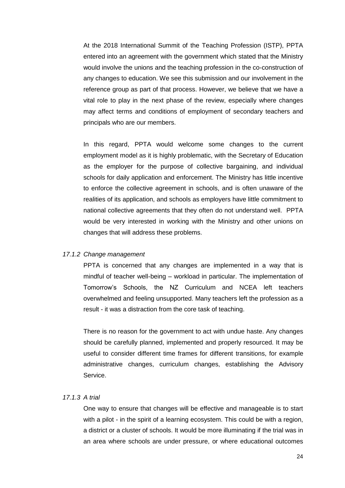At the 2018 International Summit of the Teaching Profession (ISTP), PPTA entered into an agreement with the government which stated that the Ministry would involve the unions and the teaching profession in the co-construction of any changes to education. We see this submission and our involvement in the reference group as part of that process. However, we believe that we have a vital role to play in the next phase of the review, especially where changes may affect terms and conditions of employment of secondary teachers and principals who are our members.

In this regard, PPTA would welcome some changes to the current employment model as it is highly problematic, with the Secretary of Education as the employer for the purpose of collective bargaining, and individual schools for daily application and enforcement. The Ministry has little incentive to enforce the collective agreement in schools, and is often unaware of the realities of its application, and schools as employers have little commitment to national collective agreements that they often do not understand well. PPTA would be very interested in working with the Ministry and other unions on changes that will address these problems.

#### *17.1.2 Change management*

PPTA is concerned that any changes are implemented in a way that is mindful of teacher well-being – workload in particular. The implementation of Tomorrow"s Schools, the NZ Curriculum and NCEA left teachers overwhelmed and feeling unsupported. Many teachers left the profession as a result - it was a distraction from the core task of teaching.

There is no reason for the government to act with undue haste. Any changes should be carefully planned, implemented and properly resourced. It may be useful to consider different time frames for different transitions, for example administrative changes, curriculum changes, establishing the Advisory Service.

## *17.1.3 A trial*

One way to ensure that changes will be effective and manageable is to start with a pilot - in the spirit of a learning ecosystem. This could be with a region, a district or a cluster of schools. It would be more illuminating if the trial was in an area where schools are under pressure, or where educational outcomes